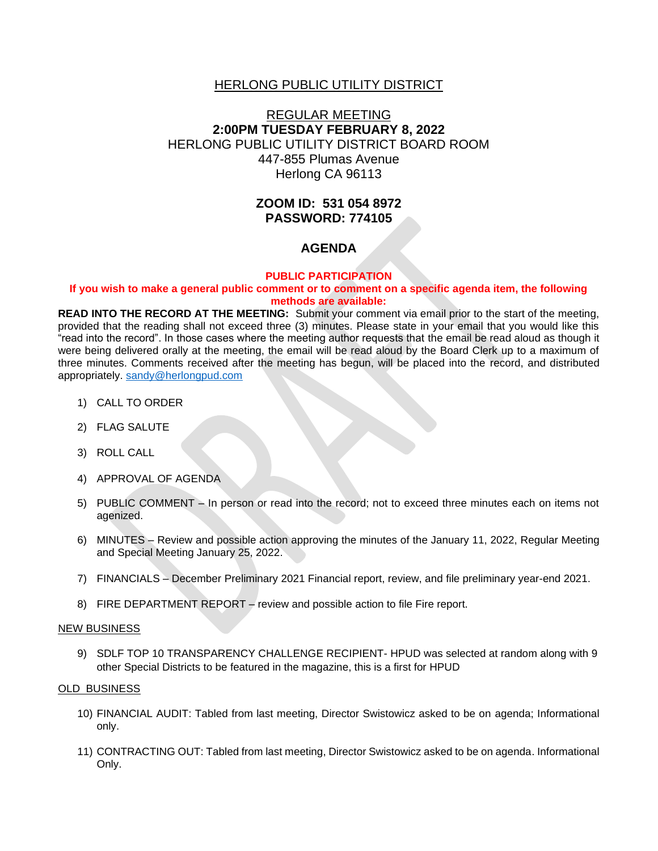### HERLONG PUBLIC UTILITY DISTRICT

# REGULAR MEETING **2:00PM TUESDAY FEBRUARY 8, 2022** HERLONG PUBLIC UTILITY DISTRICT BOARD ROOM 447-855 Plumas Avenue Herlong CA 96113

# **ZOOM ID: 531 054 8972 PASSWORD: 774105**

## **AGENDA**

### **PUBLIC PARTICIPATION**

### **If you wish to make a general public comment or to comment on a specific agenda item, the following methods are available:**

**READ INTO THE RECORD AT THE MEETING:** Submit your comment via email prior to the start of the meeting, provided that the reading shall not exceed three (3) minutes. Please state in your email that you would like this "read into the record". In those cases where the meeting author requests that the email be read aloud as though it were being delivered orally at the meeting, the email will be read aloud by the Board Clerk up to a maximum of three minutes. Comments received after the meeting has begun, will be placed into the record, and distributed appropriately. [sandy@herlongpud.com](mailto:sandy@herlongpud.com)

- 1) CALL TO ORDER
- 2) FLAG SALUTE
- 3) ROLL CALL
- 4) APPROVAL OF AGENDA
- 5) PUBLIC COMMENT In person or read into the record; not to exceed three minutes each on items not agenized.
- 6) MINUTES Review and possible action approving the minutes of the January 11, 2022, Regular Meeting and Special Meeting January 25, 2022.
- 7) FINANCIALS December Preliminary 2021 Financial report, review, and file preliminary year-end 2021.
- 8) FIRE DEPARTMENT REPORT review and possible action to file Fire report.

#### NEW BUSINESS

9) SDLF TOP 10 TRANSPARENCY CHALLENGE RECIPIENT- HPUD was selected at random along with 9 other Special Districts to be featured in the magazine, this is a first for HPUD

#### OLD BUSINESS

- 10) FINANCIAL AUDIT: Tabled from last meeting, Director Swistowicz asked to be on agenda; Informational only.
- 11) CONTRACTING OUT: Tabled from last meeting, Director Swistowicz asked to be on agenda. Informational Only.